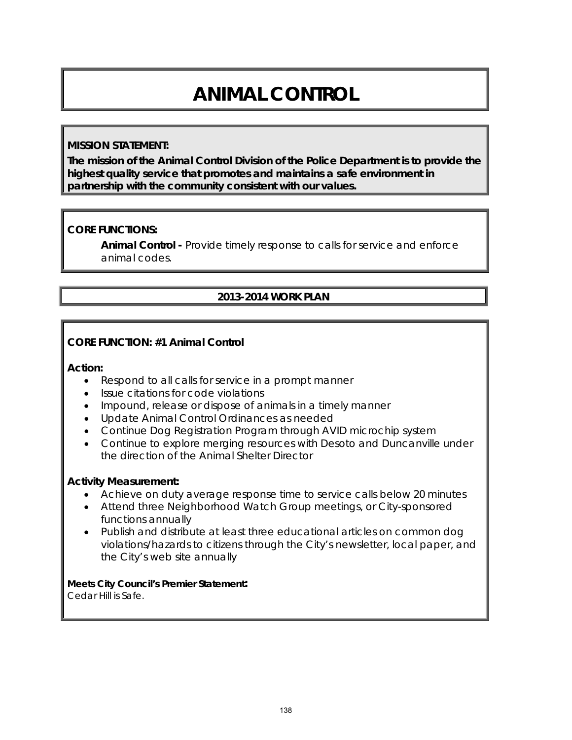# **ANIMAL CONTROL**

### **MISSION STATEMENT:**

**The mission of the Animal Control Division of the Police Department is to provide the highest quality service that promotes and maintains a safe environment in partnership with the community consistent with our values.**

# **CORE FUNCTIONS:**

**Animal Control -** Provide timely response to calls for service and enforce animal codes.

# **2013-2014 WORK PLAN**

## **CORE FUNCTION: #1 Animal Control**

#### **Action:**

- Respond to all calls for service in a prompt manner
- Issue citations for code violations
- Impound, release or dispose of animals in a timely manner
- Update Animal Control Ordinances as needed
- Continue Dog Registration Program through AVID microchip system
- Continue to explore merging resources with Desoto and Duncanville under the direction of the Animal Shelter Director

#### **Activity Measurement:**

- Achieve on duty average response time to service calls below 20 minutes
- Attend three Neighborhood Watch Group meetings, or City-sponsored functions annually
- Publish and distribute at least three educational articles on common dog violations/hazards to citizens through the City's newsletter, local paper, and the City's web site annually

# **Meets City Council's Premier Statement:**

Cedar Hill is Safe.